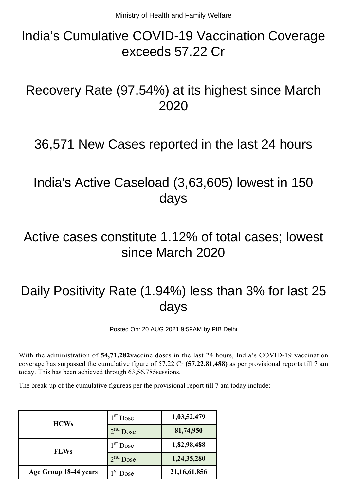## India's Cumulative COVID-19 Vaccination Coverage exceeds 57.22 Cr

#### Recovery Rate (97.54%) at its highest since March 2020

#### 36,571 New Cases reported in the last 24 hours

## India's Active Caseload (3,63,605) lowest in 150 days

#### Active cases constitute 1.12% of total cases; lowest since March 2020

# Daily Positivity Rate (1.94%) less than 3% for last 25 days

Posted On: 20 AUG 2021 9:59AM by PIB Delhi

With the administration of **54,71,282**vaccine doses in the last 24 hours, India's COVID-19 vaccination coverage has surpassed the cumulative figure of 57.22 Cr **(57,22,81,488)** as per provisional reports till 7 am today. This has been achieved through 63,56,785sessions.

The break-up of the cumulative figureas per the provisional report till 7 am today include:

| <b>HCWs</b>           | $1st$ Dose | 1,03,52,479     |
|-----------------------|------------|-----------------|
|                       | $2nd$ Dose | 81,74,950       |
| <b>FLWs</b>           | $1st$ Dose | 1,82,98,488     |
|                       | $2nd$ Dose | 1,24,35,280     |
| Age Group 18-44 years | $Ist$ Dose | 21, 16, 61, 856 |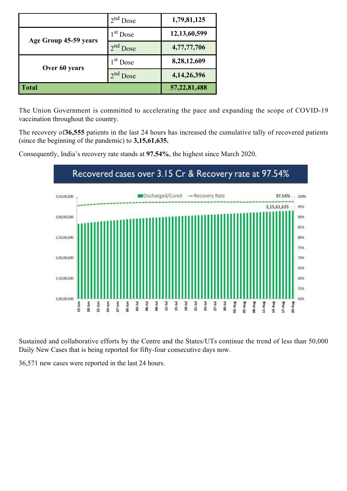|                       | $2nd$ Dose           | 1,79,81,125     |
|-----------------------|----------------------|-----------------|
| Age Group 45-59 years | $1st$ Dose           | 12, 13, 60, 599 |
|                       | 2 <sup>nd</sup> Dose | 4,77,77,706     |
| Over 60 years         | $1st$ Dose           | 8,28,12,609     |
|                       | $2nd$ Dose           | 4, 14, 26, 396  |
| <b>Total</b>          |                      | 57, 22, 81, 488 |

The Union Government is committed to accelerating the pace and expanding the scope of COVID-19 vaccination throughout the country.

The recovery of**36,555** patients in the last 24 hours has increased the cumulative tally of recovered patients (since the beginning of the pandemic) to **3,15,61,635.**



Consequently, India's recovery rate stands at **97.54%**, the highest since March 2020.

Sustained and collaborative efforts by the Centre and the States/UTs continue the trend of less than 50,000 Daily New Cases that is being reported for fifty-four consecutive days now.

36,571 new cases were reported in the last 24 hours.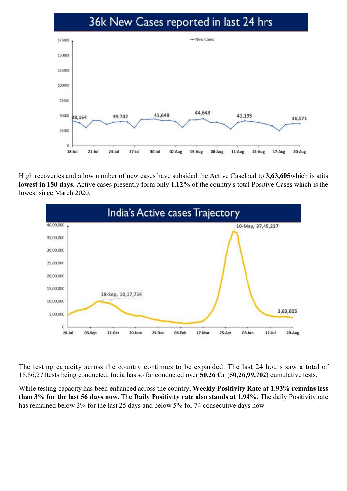#### 36k New Cases reported in last 24 hrs



High recoveries and a low number of new cases have subsided the Active Caseload to **3,63,605**which is atits **lowest in 150 days.** Active cases presently form only **1.12%** of the country's total Positive Cases which is the lowest since March 2020.



The testing capacity across the country continues to be expanded. The last 24 hours saw a total of 18,86,271tests being conducted. India has so far conducted over **50.26 Cr (50,26,99,702**) cumulative tests.

While testing capacity has been enhanced across the country, **Weekly Positivity Rate at 1.93% remains less than 3% for the last 56 days now.** The **Daily Positivity rate also stands at 1.94%.** The daily Positivity rate has remained below 3% for the last 25 days and below 5% for 74 consecutive days now.